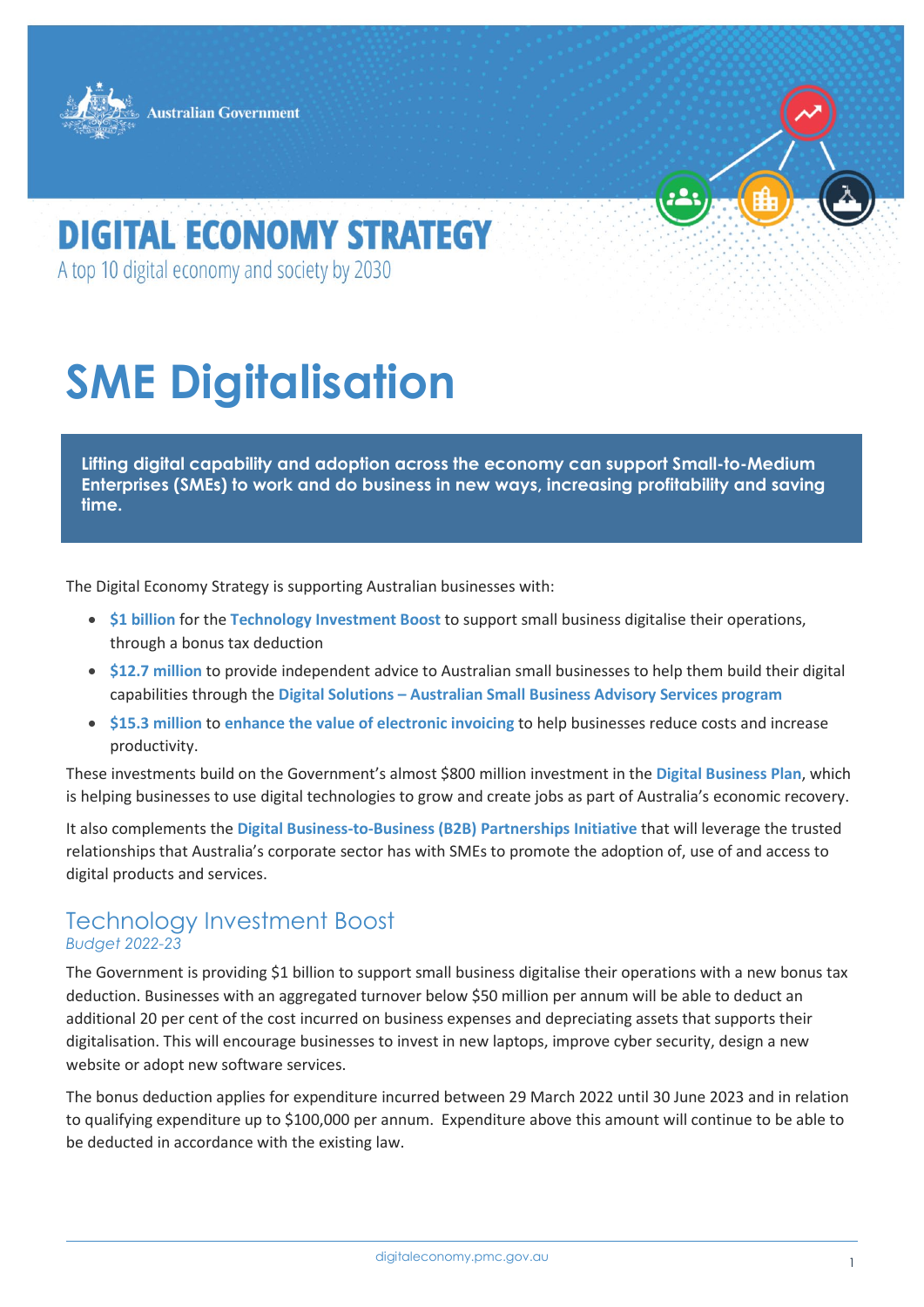



# **DIGITAL ECONOMY STRATEGY**

A top 10 digital economy and society by 2030

# **SME Digitalisation**

**Lifting digital capability and adoption across the economy can support Small-to-Medium Enterprises (SMEs) to work and do business in new ways, increasing profitability and saving time.**

The Digital Economy Strategy is supporting Australian businesses with:

- **\$1 billion** for the **Technology Investment Boost** to support small business digitalise their operations, through a bonus tax deduction
- **\$12.7 million** to provide independent advice to Australian small businesses to help them build their digital capabilities through the **Digital Solutions – Australian Small Business Advisory Services program**
- **\$15.3 million** to **enhance the value of electronic invoicing** to help businesses reduce costs and increase productivity.

These investments build on the Government's almost \$800 million investment in the **Digital Business Plan**, which is helping businesses to use digital technologies to grow and create jobs as part of Australia's economic recovery.

It also complements the **Digital Business-to-Business (B2B) Partnerships Initiative** that will leverage the trusted relationships that Australia's corporate sector has with SMEs to promote the adoption of, use of and access to digital products and services.

### Technology Investment Boost *Budget 2022-23*

The Government is providing \$1 billion to support small business digitalise their operations with a new bonus tax deduction. Businesses with an aggregated turnover below \$50 million per annum will be able to deduct an additional 20 per cent of the cost incurred on business expenses and depreciating assets that supports their digitalisation. This will encourage businesses to invest in new laptops, improve cyber security, design a new website or adopt new software services.

The bonus deduction applies for expenditure incurred between 29 March 2022 until 30 June 2023 and in relation to qualifying expenditure up to \$100,000 per annum. Expenditure above this amount will continue to be able to be deducted in accordance with the existing law.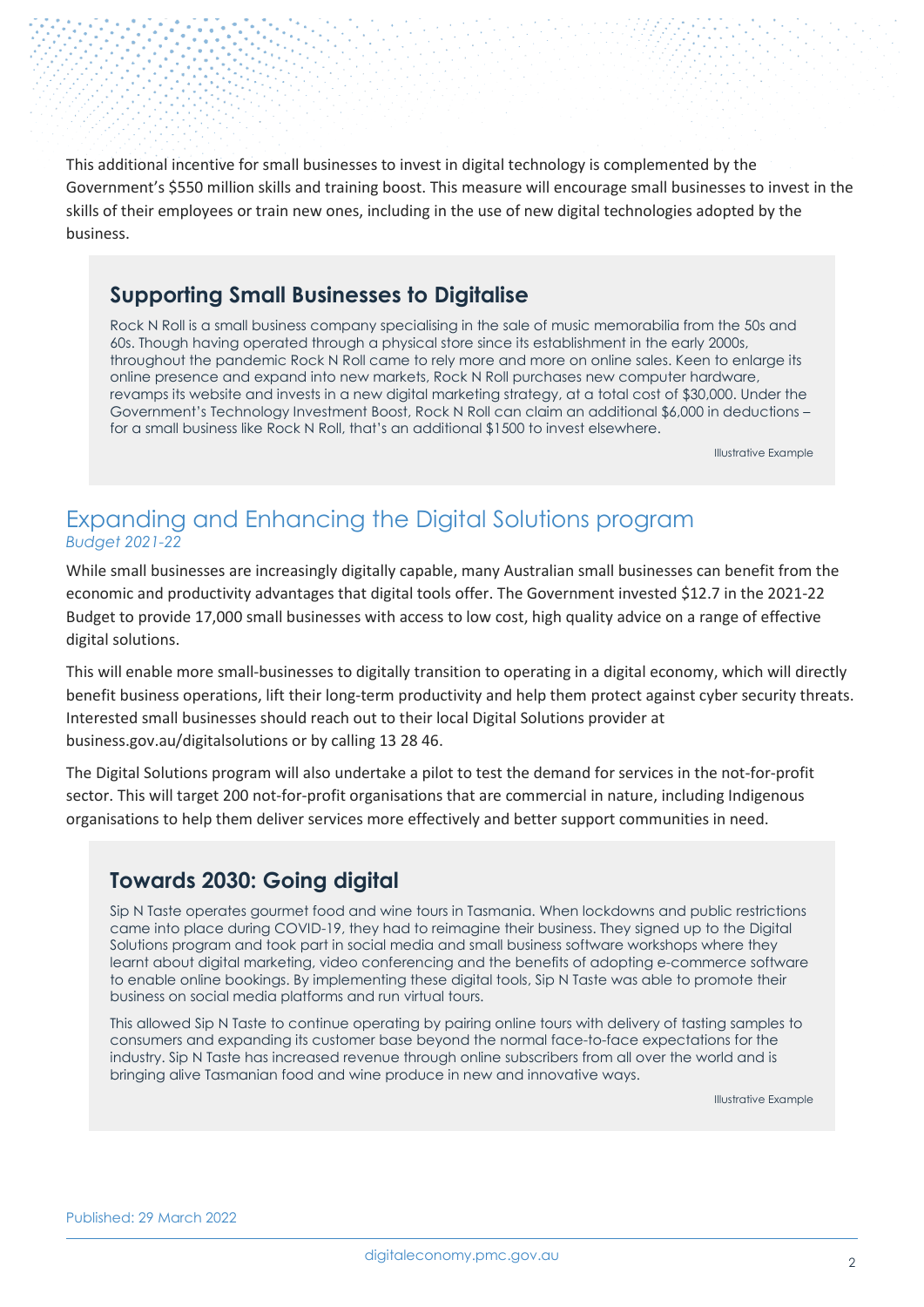This additional incentive for small businesses to invest in digital technology is complemented by the Government's \$550 million skills and training boost. This measure will encourage small businesses to invest in the skills of their employees or train new ones, including in the use of new digital technologies adopted by the business.

### **Supporting Small Businesses to Digitalise**

Rock N Roll is a small business company specialising in the sale of music memorabilia from the 50s and 60s. Though having operated through a physical store since its establishment in the early 2000s, throughout the pandemic Rock N Roll came to rely more and more on online sales. Keen to enlarge its online presence and expand into new markets, Rock N Roll purchases new computer hardware, revamps its website and invests in a new digital marketing strategy, at a total cost of \$30,000. Under the Government's Technology Investment Boost, Rock N Roll can claim an additional \$6,000 in deductions – for a small business like Rock N Roll, that's an additional \$1500 to invest elsewhere.

Illustrative Example

## Expanding and Enhancing the Digital Solutions program *Budget 2021-22*

While small businesses are increasingly digitally capable, many Australian small businesses can benefit from the economic and productivity advantages that digital tools offer. The Government invested \$12.7 in the 2021-22 Budget to provide 17,000 small businesses with access to low cost, high quality advice on a range of effective digital solutions.

This will enable more small-businesses to digitally transition to operating in a digital economy, which will directly benefit business operations, lift their long-term productivity and help them protect against cyber security threats. Interested small businesses should reach out to their local Digital Solutions provider at business.gov.au/digitalsolutions or by calling 13 28 46.

The Digital Solutions program will also undertake a pilot to test the demand for services in the not-for-profit sector. This will target 200 not-for-profit organisations that are commercial in nature, including Indigenous organisations to help them deliver services more effectively and better support communities in need.

## **Towards 2030: Going digital**

Sip N Taste operates gourmet food and wine tours in Tasmania. When lockdowns and public restrictions came into place during COVID-19, they had to reimagine their business. They signed up to the Digital Solutions program and took part in social media and small business software workshops where they learnt about digital marketing, video conferencing and the benefits of adopting e-commerce software to enable online bookings. By implementing these digital tools, Sip N Taste was able to promote their business on social media platforms and run virtual tours.

This allowed Sip N Taste to continue operating by pairing online tours with delivery of tasting samples to consumers and expanding its customer base beyond the normal face-to-face expectations for the industry. Sip N Taste has increased revenue through online subscribers from all over the world and is bringing alive Tasmanian food and wine produce in new and innovative ways.

Illustrative Example